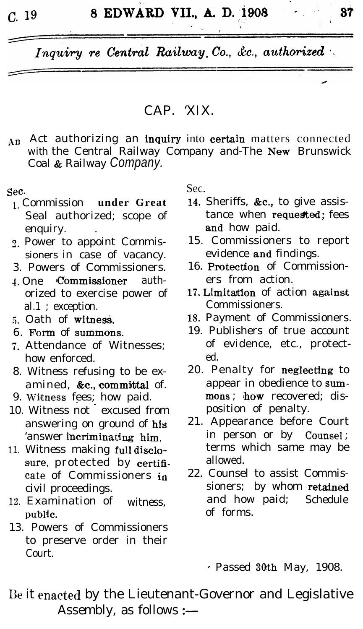$C_{\rm L}$  19

Inquiry re Central Railway Co., &c., authorized

### CAP. 'XIX.

An Act authorizing an inquiry into certain matters connected with the Central Railway Company and-The New Brunswick Coal & Railway Company.

#### Sec.

- 1 Commission under Great Seal authorized; scope of enquiry.
- 2. Power to appoint Commissioners in case of vacancy.
- 3. Powers of Commissioners.
- 4. One **Commissioner** authorized to exercise power of al.1 : exception.
- 5. Oath of witness.
- 6. Form of summons.
- 7. Attendance of Witnesses: how enforced.
- 8. Witness refusing to be examined, &c., committal of.
- 9. Witness fees; how paid.
- 10. Witness not excused from answering on ground of his 'answer incriminating him.
- 11. Witness making full disclosure, protected by certificate of Commissioners in civil proceedings.
- 12. Examination of witness, public.
- 13. Powers of Commissioners to preserve order in their  $C$ <sub>ourt</sub>

Sec.

- 14. Sheriffs, &c., to give assistance when requested; fees and how paid.
- 15. Commissioners to report evidence and findings.
- 16. Protection of Commissioners from action.
- 17. Limitation of action against Commissioners.
- 18. Payment of Commissioners.
- 19. Publishers of true account of evidence, etc., protected.
- 20. Penalty for neglecting to appear in obedience to summons; how recovered; disposition of penalty.
- 21. Appearance before Court in person or by Counsel; terms which same may be allowed.
- 22. Counsel to assist Commissioners; by whom retained and how paid; Schedule of forms

 $\cdot$  Passed 30th May, 1908.

Be it enacted by the Lieutenant-Governor and Legislative Assembly, as follows :-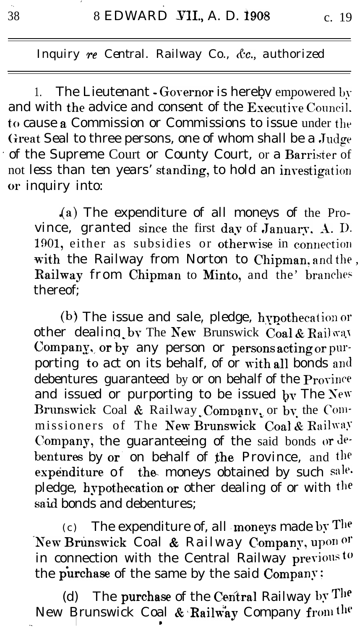The Lieutenant - Governor is hereby empowered by  $1_{-}$ and with the advice and consent of the Executive Council. to cause a Commission or Commissions to issue under the Great Seal to three persons, one of whom shall be a Judge of the Supreme Court or County Court, or a Barrister of not less than ten years' standing, to hold an investigation or inquiry into:

 $(a)$  The expenditure of all moneys of the Province, granted since the first day of January, A. D. 1901, either as subsidies or otherwise in connection with the Railway from Norton to Chipman, and the, Railway from Chipman to Minto, and the' branches thereof:

(b) The issue and sale, pledge, hypothecation or other dealing by The New Brunswick Coal & Railway Company, or by any person or persons acting or purporting to act on its behalf, of or with all bonds and debentures guaranteed by or on behalf of the Province and issued or purporting to be issued by The New Brunswick Coal & Railway Company, or by the Commissioners of The New Brunswick Coal & Railway Company, the guaranteeing of the said bonds or debentures by or on behalf of the Province, and the expenditure of the moneys obtained by such sale. pledge, hypothecation or other dealing of or with the said bonds and debentures:

 $(c)$  The expenditure of, all moneys made by The New Brunswick Coal & Railway Company, upon or in connection with the Central Railway previous to the purchase of the same by the said Company;

(d) The purchase of the Central Railway by The New Brunswick Coal & Railway Company from the

38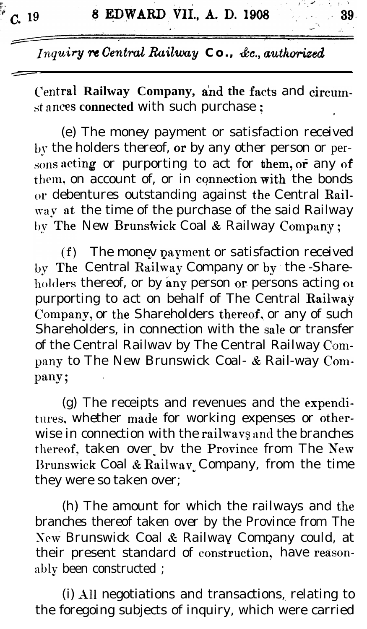Central Railway Company, and the facts and circumst ances connected with such purchase ;

(e) The money payment or satisfaction received by the holders thereof, or by any other person or persons acting or purporting to act for them, or any of them, on account of, or in connection with the bonds or debentures outstanding against the Central Railway at the time of the purchase of the said Railway by The New Brunswick Coal & Railway Company;

(f) The money payment or satisfaction received by The Central Railway Company or by the -Shareholders thereof, or by any person or persons acting or purporting to act on behalf of The Central Railway Company, or the Shareholders thereof, or any of such Shareholders, in connection with the sale or transfer of the Central Railwav by The Central Railway Company to The New Brunswick Coal- & Rail-way Company;

(g) The receipts and revenues and the expenditures, whether made for working expenses or otherwise in connection with the railways and the branches thereof, taken over by the Province from The New Brunswick Coal & Railway Company, from the time they were so taken over;

(h) The amount for which the railways and the branches thereof taken over by the Province from The New Brunswick Coal & Railway Company could, at their present standard of construction, have reasonably been constructed;

(i) All negotiations and transactions, relating to the foregoing subjects of inquiry, which were carried

39.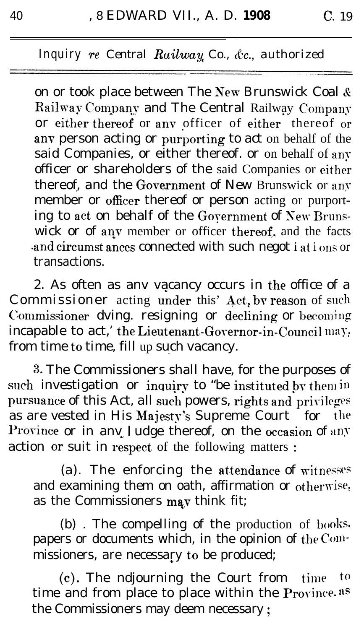on or took place between The New Brunswick Coal & Railway Company and The Central Railway Company or either thereof or any officer of either thereof or any person acting or purporting to act on behalf of the said Companies, or either thereof. or on behalf of any officer or shareholders of the said Companies or either thereof, and the Government of New Brunswick or any member or officer thereof or person acting or purporting to act on behalf of the Government of New Brunswick or of any member or officer thereof, and the facts and circumst ances connected with such negot i at i ons or transactions.

2. As often as any vacancy occurs in the office of a Commissioner acting under this' Act, by reason of such Commissioner dving. resigning or declining or becoming incapable to act,' the Lieutenant-Governor-in-Council may. from time to time, fill up such vacancy.

3. The Commissioners shall have, for the purposes of such investigation or inquiry to "be instituted by them in pursuance of this Act, all such powers, rights and privileges as are vested in His Majesty's Supreme Court for the Province or in any Judge thereof, on the occasion of any action or suit in respect of the following matters:

(a). The enforcing the attendance of witnesses and examining them on oath, affirmation or otherwise, as the Commissioners may think fit;

(b). The compelling of the production of books. papers or documents which, in the opinion of the Commissioners, are necessary to be produced;

to (c). The ndjourning the Court from time time and from place to place within the Province.<sup>85</sup> the Commissioners may deem necessary;

40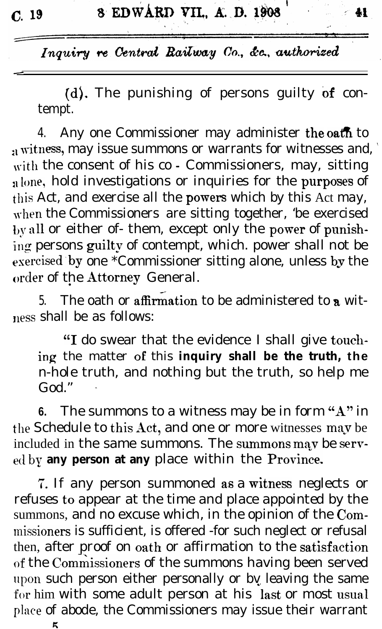$C.$  19

-

41

Inquiry re Central Railway Co., &c., authorized

(d). The punishing of persons guilty of contempt.

4. Any one Commissioner may administer the oath to  $_{21}$  witness, may issue summons or warrants for witnesses and,  $^{\circ}$ with the consent of his co - Commissioners, may, sitting alone, hold investigations or inquiries for the purposes of this Act, and exercise all the **powers** which by this Act may, when the Commissioners are sitting together, 'be exercised by all or either of- them, except only the power of punishing persons guilty of contempt, which. power shall not be exercised by one \*Commissioner sitting alone, unless by the order of the Attorney General.  $\bullet$ 

5. The oath or affirmation to be administered to a witness shall be as follows:

"1 do swear that the evidence I shall give towhing the matter OF this **inquiry shall be the truth, the** n-hole truth, and nothing but the truth, so help me  $God.$ "

**6.** The summons to a witness may be in form "A" in the Schedule to this Act, and one or more witnesses may be included in the same summons. The summons may be served by **any person at any** place within the Province.

7. If any person summoned as a witness neglects or refuses to appear at the time and place appointed by the summons, and no excuse which, in the opinion of the Commissioners is sufficient, is offered -for such neglect or refusal then, after proof on oath or affirmation to the satisfaction of the Commissioners of the summons having been served upon such person either personally or by leaving the same for him with some adult person at his last or most usual place of abode, the Commissioners may issue their warrant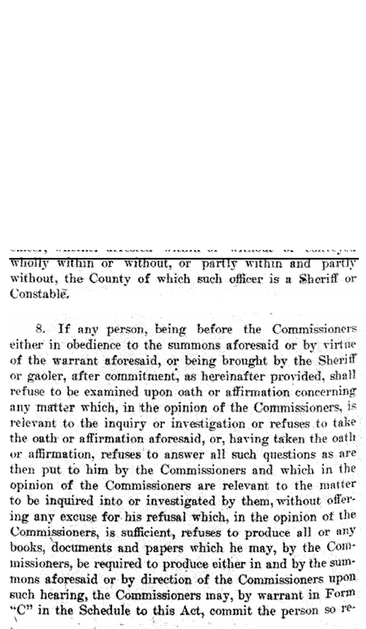wholly within or without, or partly within and partly without, the County of which such officer is a Sheriff or Constable.

8. If any person, being before the Commissioners either in obedience to the summons aforesaid or by virtue of the warrant aforesaid, or being brought by the Sheriff or gaoler, after commitment, as hereinafter provided, shall refuse to be examined upon oath or affirmation concerning any matter which, in the opinion of the Commissioners, is relevant to the inquiry or investigation or refuses to take the oath or affirmation aforesaid, or, having taken the oath or affirmation, refuses to answer all such questions as are then put to him by the Commissioners and which in the opinion of the Commissioners are relevant to the matter to be inquired into or investigated by them, without offering any excuse for his refusal which, in the opinion of the Commissioners, is sufficient, refuses to produce all or any books, documents and papers which he may, by the Commissioners, be required to produce either in and by the summons aforesaid or by direction of the Commissioners upon such hearing, the Commissioners may, by warrant in Form. " $C<sup>n</sup>$  in the Schedule to this Act, commit the person so  $T<sup>e</sup>$ .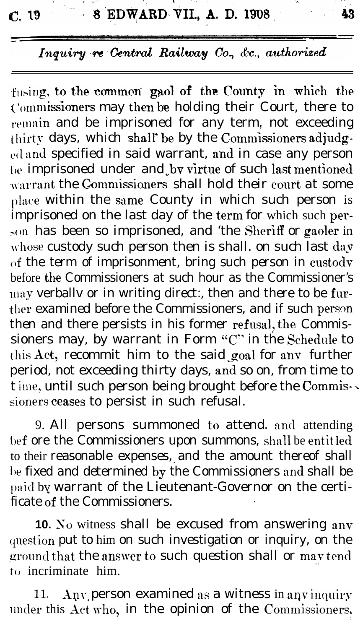$C.19$ 

## Inquiry re Central Railway Co., &c., authorized

fusing, to the common gaol of the County in which the Commissioners may then be holding their Court, there to remain and be imprisoned for any term, not exceeding thirty days, which shall be by the Commissioners adjudg- $_{\text{ed}}$  and specified in said warrant, and in case any person be imprisoned under and by virtue of such last mentioned warrant the Commissioners shall hold their court at some place within the same County in which such person is imprisoned on the last day of the term for which such person has been so imprisoned, and 'the Sheriff or gaoler in whose custody such person then is shall. on such last day of the term of imprisonment, bring such person in custody before the Commissioners at such hour as the Commissioner's may verbally or in writing direct:, then and there to be further examined before the Commissioners, and if such person then and there persists in his former refusal, the Commissioners may, by warrant in Form " $C$ " in the Schedule to this Act, recommit him to the said goal for any further period, not exceeding thirty days, and so on, from time to t ime, until such person being brought before the Commissioners ceases to persist in such refusal.

9. All persons summoned to attend. and attending bef ore the Commissioners upon summons, shall be entitled to their reasonable expenses, and the amount thereof shall be fixed and determined by the Commissioners and shall be paid by warrant of the Lieutenant-Governor on the certificate of the Commissioners.

**10.** No witness shall be excused from answering any question put to him on such investigation or inquiry, on the ground that the answer to such question shall or may tend to incriminate him.

**11.** Any person examined as a witness in any inquiry under this Act who, in the opinion of the Commissioners.

43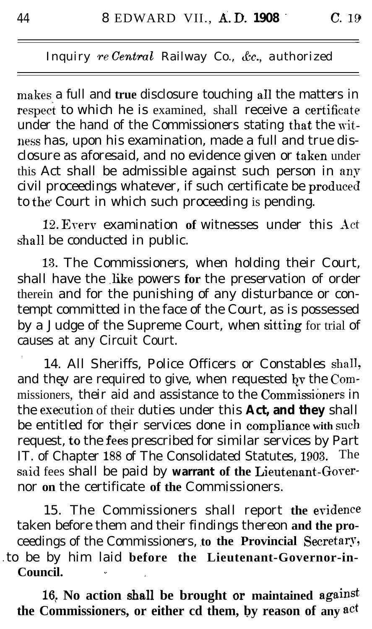makes a full and true disclosure touching all the matters in respect to which he is examined, shall receive a certificate under the hand of the Commissioners stating that the witness has, upon his examination, made a full and true disclosure as aforesaid, and no evidence given or taken under this Act shall be admissible against such person in anv civil proceedings whatever, if such certificate be produced to the Court in which such proceeding is pending.

12. Every examination of witnesses under this Act shall be conducted in public.

113. The Commissioners, when holding their Court, shall have the like powers for the preservation of order therein and for the punishing of any disturbance or contempt committed in the face of the Court, as is possessed by a Judge of the Supreme Court, when sitting for trial of causes at any Circuit Court.

, 14. All Sheriffs, Police Officers or Constables shalI, and they are required to give, when requested by the Commissioners, their aid and assistance to the Commissioners in the execution of their duties under this Act, and they shall be entitled for their services done in **compliance with such** request, to the fees prescribed for similar services by Part IT. of Chapter 188 of The Consolidated Statutes, 1903. The said fees shall be paid by warrant of the Lieutenant-Governor **on** the certificate **of the** Commissioners. .

15. The Commissioners shall report **the** evidence taken before them and their findings thereon **and the pro**ceedings of the Commissioners, to the Provincial Secretary, l to be by him laid **before the Lieutenant-Governor-in-Council. .- -**

16. No action shall be brought or maintained against **the Commissioners, or either cd them, by reason of any act** 

-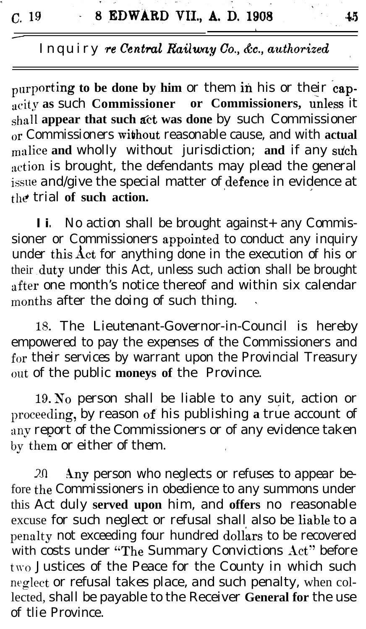t

purporting to be done by him or them in his or their cap**the active as such Commissioner** or Commissioners, unless it shall appear that such act was done by such Commissioner or Commissioners without reasonable cause, and with **actual** malice and wholly without jurisdiction; and if any such action is brought, the defendants may plead the general  $_{\rm issue}$  and/give the special matter of  $_{\rm defence}$  in evidence at the trial of such action. **.J**

**l i .** No action shall be brought against+ any Commissioner or Commissioners appointed to conduct any inquiry under this  $\det$  for anything done in the execution of his or their .duty under this Act, unless such action shall be brought after one month's notice thereof and within six calendar months after the doing of such thing.

**18.** The Lieutenant-Governor-in-Council is hereby empowered to pay the expenses of the Commissioners and for their services by warrant upon the Provincial Treasury out of the public **moneys of** the Province.

19. Xo person shall be liable to any suit, action or \* proceeding, by reason of his publishing a true account of any report of the Commissioners or of any evidence taken by them or either of them.

 $20$  Any person who neglects or refuses to appear before the Commissioners in obedience to any summons under this Act duly **served upon** him, and **offers** no reasonable excuse for such neglect or refusal shall also be liable to a penalty not exceeding four hundred dollars to be recovered with costs under "The Summary Convictions Act" before two Justices of the Peace for the County in which such neglect or refusal takes place, and such penalty, when collected, shall be payable to the Receiver **General for** the use of tlie Province.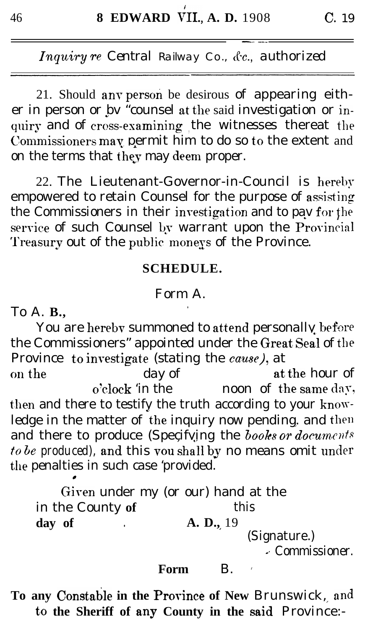21. Should any person be desirous of appearing either in person or bv "counsel at the said investigation or inquiry and of cross-examining the witnesses thereat the Commissioners may permit him to do so to the extent and on the terms that they may deem proper.

22. The Lieutenant-Governor-in-Council is hereby empowered to retain Counsel for the purpose of assisting the Commissioners in their investigation and to pay for the service of such Counsel by warrant upon the Provincial Treasury out of the public moneys of the Province.

### **SCHEDULE.**

### Form A.

To A. **B.**,

You are hereby summoned to attend personally before the Commissioners" appointed under the Great Seal of the Province to investigate (stating the cause), at

at the hour of on the day of o'clock 'in the noon of the same day, then and there to testify the truth according to your knowledge in the matter of the inquiry now pending. and then and there to produce (Specifying the books or documents to be produced), and this you shall by no means omit under the penalties in such case 'provided.

Given under my (or our) hand at the in the County of this A. D., 19 day of (Signature.)

- Commissioner.

#### Form  $\mathbf{B}$ .

To any Constable in the Province of New Brunswick, and to the Sheriff of any County in the said Province:-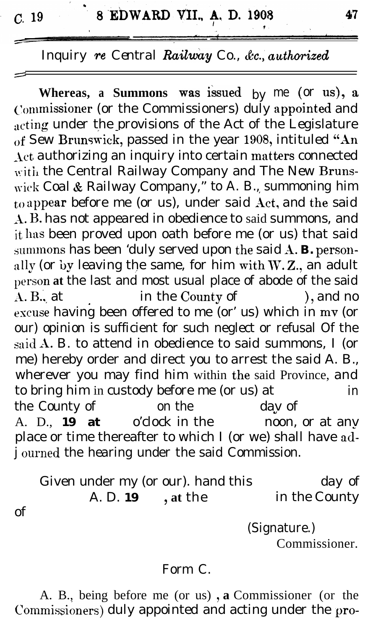of

# *Inquiry re Central Railway Co., &c., authorized*

**Whereas,** a **Summons** was issued by me (or us), a Commissioner (or the Commissioners) duly appointed and acting under the provisions of the Act of the Legislature of Sew Brunswick, passed in the year 1908, intituled "An  $\Lambda$ ct authorizing an inquiry into certain matters connected with the Central Railway Company and The New Brunswick Coal & Railway Company," to A. B., summoning him to appear before me (or us), under said Act, and the said A. B. has not appeared in obedience to said summons, and it has been proved upon oath before me (or us) that said summons has been 'duly served upon the said A. B. personally (or by leaving the same, for him with  $W.Z.$ , an adult person **at** the last and most usual place of abode of the said A. B., at in the County of ), and no escuse having been offered to me (or' us) which in mv (or our) opinion is sufficient for such neglect or refusal Of the said  $A$ . B. to attend in obedience to said summons, I (or me) hereby order and direct you to arrest the said A. B., wherever you may find him within the said Province, and to bring him in custody before me (or us) at in the County of on the day of<br>A. D. 19 at o'clock in the noon. A. D., **19 at** o'clock in the noon, or at anv place or time thereafter to which I (or we) shall have adj ourned the hearing under the said Commission.

Given under my (or our). hand this day of A. D. **19** , at the in the County

> (Signature.) Commissioner.

#### Form C.

A. B., being before me (or us), a Commissioner (or the Commissioners) duly appointed and acting under the pro-